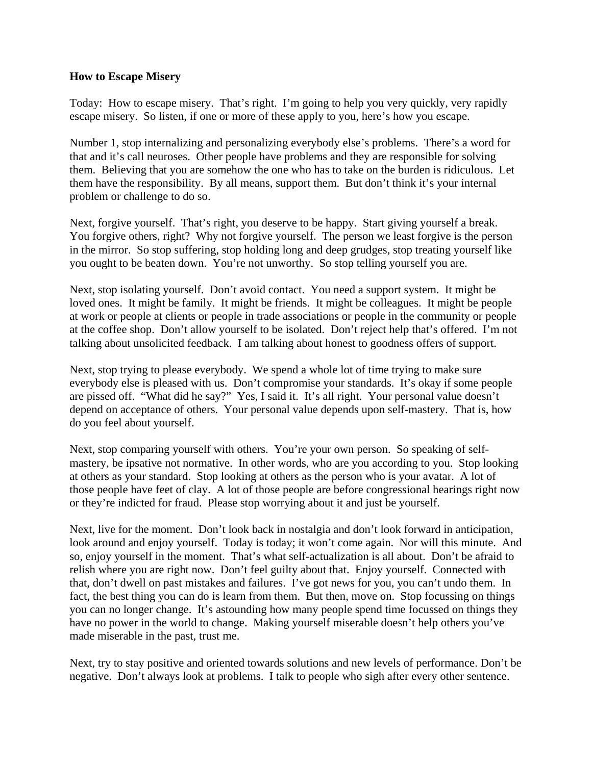## **How to Escape Misery**

Today: How to escape misery. That's right. I'm going to help you very quickly, very rapidly escape misery. So listen, if one or more of these apply to you, here's how you escape.

Number 1, stop internalizing and personalizing everybody else's problems. There's a word for that and it's call neuroses. Other people have problems and they are responsible for solving them. Believing that you are somehow the one who has to take on the burden is ridiculous. Let them have the responsibility. By all means, support them. But don't think it's your internal problem or challenge to do so.

Next, forgive yourself. That's right, you deserve to be happy. Start giving yourself a break. You forgive others, right? Why not forgive yourself. The person we least forgive is the person in the mirror. So stop suffering, stop holding long and deep grudges, stop treating yourself like you ought to be beaten down. You're not unworthy. So stop telling yourself you are.

Next, stop isolating yourself. Don't avoid contact. You need a support system. It might be loved ones. It might be family. It might be friends. It might be colleagues. It might be people at work or people at clients or people in trade associations or people in the community or people at the coffee shop. Don't allow yourself to be isolated. Don't reject help that's offered. I'm not talking about unsolicited feedback. I am talking about honest to goodness offers of support.

Next, stop trying to please everybody. We spend a whole lot of time trying to make sure everybody else is pleased with us. Don't compromise your standards. It's okay if some people are pissed off. "What did he say?" Yes, I said it. It's all right. Your personal value doesn't depend on acceptance of others. Your personal value depends upon self-mastery. That is, how do you feel about yourself.

Next, stop comparing yourself with others. You're your own person. So speaking of selfmastery, be ipsative not normative. In other words, who are you according to you. Stop looking at others as your standard. Stop looking at others as the person who is your avatar. A lot of those people have feet of clay. A lot of those people are before congressional hearings right now or they're indicted for fraud. Please stop worrying about it and just be yourself.

Next, live for the moment. Don't look back in nostalgia and don't look forward in anticipation, look around and enjoy yourself. Today is today; it won't come again. Nor will this minute. And so, enjoy yourself in the moment. That's what self-actualization is all about. Don't be afraid to relish where you are right now. Don't feel guilty about that. Enjoy yourself. Connected with that, don't dwell on past mistakes and failures. I've got news for you, you can't undo them. In fact, the best thing you can do is learn from them. But then, move on. Stop focussing on things you can no longer change. It's astounding how many people spend time focussed on things they have no power in the world to change. Making yourself miserable doesn't help others you've made miserable in the past, trust me.

Next, try to stay positive and oriented towards solutions and new levels of performance. Don't be negative. Don't always look at problems. I talk to people who sigh after every other sentence.